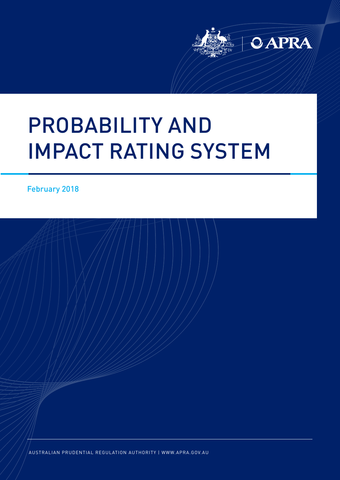

# PROBABILITY AND IMPACT RATING SYSTEM

February 2018

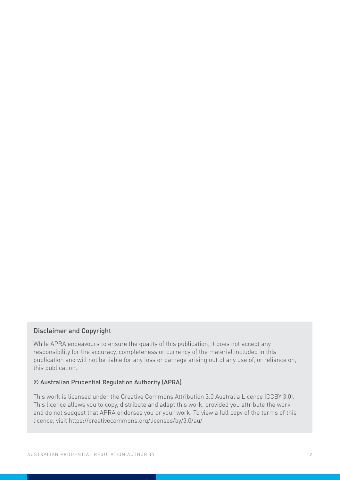#### Disclaimer and Copyright

While APRA endeavours to ensure the quality of this publication, it does not accept any responsibility for the accuracy, completeness or currency of the material included in this publication and will not be liable for any loss or damage arising out of any use of, or reliance on, this publication.

#### © Australian Prudential Regulation Authority (APRA)

This work is licensed under the Creative Commons Attribution 3.0 Australia Licence (CCBY 3.0). This licence allows you to copy, distribute and adapt this work, provided you attribute the work and do not suggest that APRA endorses you or your work. To view a full copy of the terms of this licence, visit https://creativecommons.org/licenses/by/3.0/au/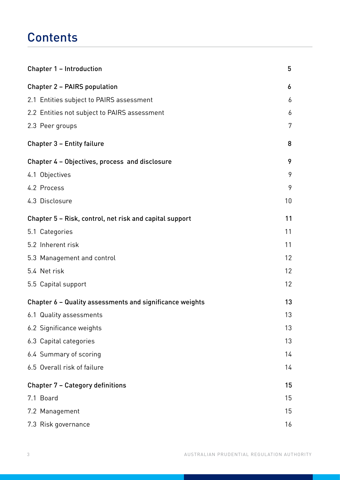# **Contents**

| Chapter 1 - Introduction                                 | 5  |
|----------------------------------------------------------|----|
| <b>Chapter 2 - PAIRS population</b>                      | 6  |
| 2.1 Entities subject to PAIRS assessment                 | 6  |
| 2.2 Entities not subject to PAIRS assessment             | 6  |
| 2.3 Peer groups                                          | 7  |
| Chapter 3 - Entity failure                               | 8  |
| Chapter 4 - Objectives, process and disclosure           | 9  |
| 4.1 Objectives                                           | 9  |
| 4.2 Process                                              | 9  |
| 4.3 Disclosure                                           | 10 |
| Chapter 5 - Risk, control, net risk and capital support  | 11 |
| 5.1 Categories                                           | 11 |
| 5.2 Inherent risk                                        | 11 |
| 5.3 Management and control                               | 12 |
| 5.4 Net risk                                             | 12 |
| 5.5 Capital support                                      | 12 |
| Chapter 6 - Quality assessments and significance weights | 13 |
| 6.1 Quality assessments                                  | 13 |
| 6.2 Significance weights                                 | 13 |
| 6.3 Capital categories                                   | 13 |
| 6.4 Summary of scoring                                   | 14 |
| 6.5 Overall risk of failure                              | 14 |
| Chapter 7 - Category definitions                         | 15 |
| 7.1 Board                                                | 15 |
| 7.2 Management                                           | 15 |
| 7.3 Risk governance                                      | 16 |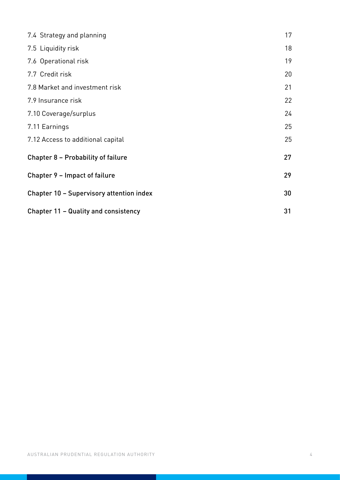| 7.4 Strategy and planning                | 17 |  |
|------------------------------------------|----|--|
| 7.5 Liquidity risk                       | 18 |  |
| 7.6 Operational risk                     | 19 |  |
| 7.7 Credit risk                          | 20 |  |
| 7.8 Market and investment risk           | 21 |  |
| 7.9 Insurance risk                       | 22 |  |
| 7.10 Coverage/surplus                    | 24 |  |
| 7.11 Earnings                            | 25 |  |
| 7.12 Access to additional capital        | 25 |  |
| Chapter 8 - Probability of failure       | 27 |  |
| Chapter 9 - Impact of failure            | 29 |  |
| Chapter 10 - Supervisory attention index |    |  |
| Chapter 11 - Quality and consistency     | 31 |  |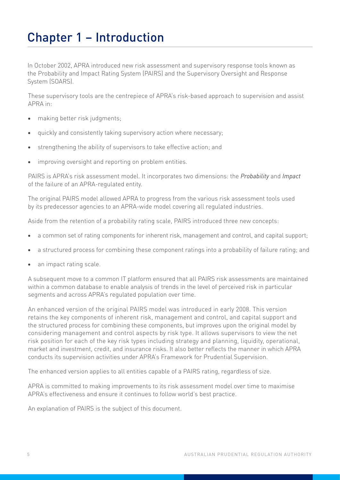# Chapter 1 – Introduction

In October 2002, APRA introduced new risk assessment and supervisory response tools known as the Probability and Impact Rating System (PAIRS) and the Supervisory Oversight and Response System (SOARS).

These supervisory tools are the centrepiece of APRA's risk-based approach to supervision and assist APRA in:

- making better risk judgments;
- quickly and consistently taking supervisory action where necessary;
- strengthening the ability of supervisors to take effective action; and
- improving oversight and reporting on problem entities.

PAIRS is APRA's risk assessment model. It incorporates two dimensions: the *Probability* and *Impact* of the failure of an APRA-regulated entity.

The original PAIRS model allowed APRA to progress from the various risk assessment tools used by its predecessor agencies to an APRA-wide model covering all regulated industries.

Aside from the retention of a probability rating scale, PAIRS introduced three new concepts:

- a common set of rating components for inherent risk, management and control, and capital support;
- a structured process for combining these component ratings into a probability of failure rating; and
- an impact rating scale.

A subsequent move to a common IT platform ensured that all PAIRS risk assessments are maintained within a common database to enable analysis of trends in the level of perceived risk in particular segments and across APRA's regulated population over time.

An enhanced version of the original PAIRS model was introduced in early 2008. This version retains the key components of inherent risk, management and control, and capital support and the structured process for combining these components, but improves upon the original model by considering management and control aspects by risk type. It allows supervisors to view the net risk position for each of the key risk types including strategy and planning, liquidity, operational, market and investment, credit, and insurance risks. It also better reflects the manner in which APRA conducts its supervision activities under APRA's Framework for Prudential Supervision.

The enhanced version applies to all entities capable of a PAIRS rating, regardless of size.

APRA is committed to making improvements to its risk assessment model over time to maximise APRA's effectiveness and ensure it continues to follow world's best practice.

An explanation of PAIRS is the subject of this document.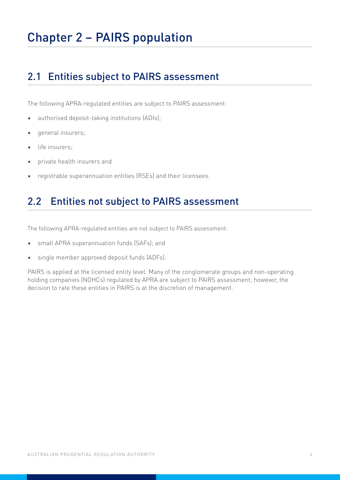# Chapter 2 – PAIRS population

### 2.1 Entities subject to PAIRS assessment

The following APRA-regulated entities are subject to PAIRS assessment:

- authorised deposit-taking institutions (ADIs);
- general insurers;
- life insurers;
- private health insurers and
- registrable superannuation entities (RSEs) and their licensees.

### 2.2 Entities not subject to PAIRS assessment

The following APRA-regulated entities are not subject to PAIRS assessment:

- small APRA superannuation funds (SAFs); and
- single member approved deposit funds (ADFs).

PAIRS is applied at the licensed entity level. Many of the conglomerate groups and non-operating holding companies (NOHCs) regulated by APRA are subject to PAIRS assessment; however, the decision to rate these entities in PAIRS is at the discretion of management.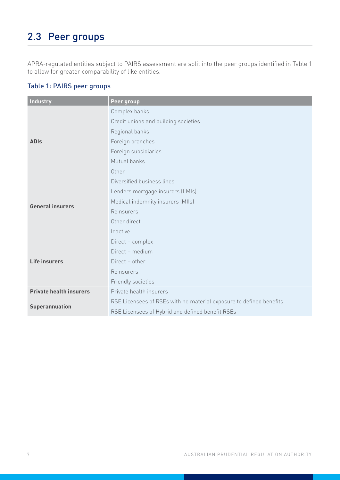### 2.3 Peer groups

APRA-regulated entities subject to PAIRS assessment are split into the peer groups identified in Table 1 to allow for greater comparability of like entities.

#### Table 1: PAIRS peer groups

| <b>Industry</b>                | Peer group                                                          |  |  |  |
|--------------------------------|---------------------------------------------------------------------|--|--|--|
| <b>ADIS</b>                    | Complex banks                                                       |  |  |  |
|                                | Credit unions and building societies                                |  |  |  |
|                                | Regional banks                                                      |  |  |  |
|                                | Foreign branches                                                    |  |  |  |
|                                | Foreign subsidiaries                                                |  |  |  |
|                                | Mutual banks                                                        |  |  |  |
|                                | Other                                                               |  |  |  |
|                                | Diversified business lines                                          |  |  |  |
|                                | Lenders mortgage insurers (LMIs)                                    |  |  |  |
|                                | Medical indemnity insurers (MIIs)                                   |  |  |  |
| <b>General insurers</b>        | Reinsurers                                                          |  |  |  |
|                                | Other direct                                                        |  |  |  |
|                                | Inactive                                                            |  |  |  |
|                                | Direct - complex                                                    |  |  |  |
|                                | Direct - medium                                                     |  |  |  |
| Life insurers                  | Direct - other                                                      |  |  |  |
|                                | Reinsurers                                                          |  |  |  |
|                                | Friendly societies                                                  |  |  |  |
| <b>Private health insurers</b> | Private health insurers                                             |  |  |  |
| Superannuation                 | RSE Licensees of RSEs with no material exposure to defined benefits |  |  |  |
|                                | RSE Licensees of Hybrid and defined benefit RSEs                    |  |  |  |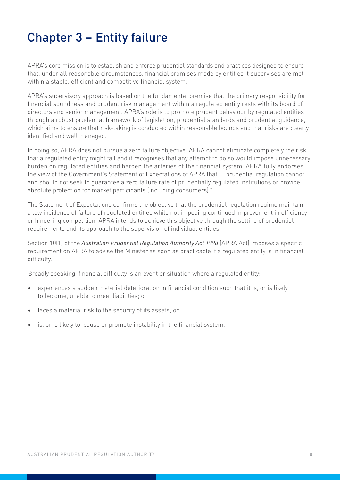# Chapter 3 – Entity failure

APRA's core mission is to establish and enforce prudential standards and practices designed to ensure that, under all reasonable circumstances, financial promises made by entities it supervises are met within a stable, efficient and competitive financial system.

APRA's supervisory approach is based on the fundamental premise that the primary responsibility for financial soundness and prudent risk management within a regulated entity rests with its board of directors and senior management. APRA's role is to promote prudent behaviour by regulated entities through a robust prudential framework of legislation, prudential standards and prudential guidance, which aims to ensure that risk-taking is conducted within reasonable bounds and that risks are clearly identified and well managed.

In doing so, APRA does not pursue a zero failure objective. APRA cannot eliminate completely the risk that a regulated entity might fail and it recognises that any attempt to do so would impose unnecessary burden on regulated entities and harden the arteries of the financial system. APRA fully endorses the view of the Government's Statement of Expectations of APRA that "…prudential regulation cannot and should not seek to guarantee a zero failure rate of prudentially regulated institutions or provide absolute protection for market participants (including consumers)."

The Statement of Expectations confirms the objective that the prudential regulation regime maintain a low incidence of failure of regulated entities while not impeding continued improvement in efficiency or hindering competition. APRA intends to achieve this objective through the setting of prudential requirements and its approach to the supervision of individual entities.

Section 10(1) of the *Australian Prudential Regulation Authority Act 1998* (APRA Act) imposes a specific requirement on APRA to advise the Minister as soon as practicable if a regulated entity is in financial difficulty.

Broadly speaking, financial difficulty is an event or situation where a regulated entity:

- experiences a sudden material deterioration in financial condition such that it is, or is likely to become, unable to meet liabilities; or
- faces a material risk to the security of its assets; or
- is, or is likely to, cause or promote instability in the financial system.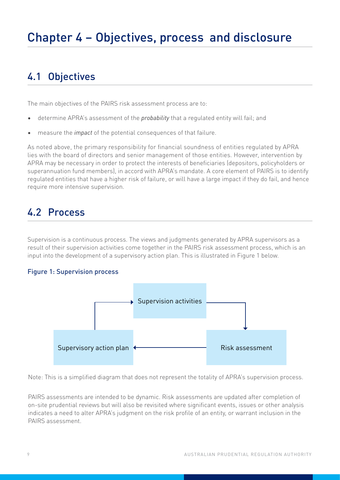### 4.1 Objectives

The main objectives of the PAIRS risk assessment process are to:

- determine APRA's assessment of the *probability* that a regulated entity will fail; and
- measure the *impact* of the potential consequences of that failure.

As noted above, the primary responsibility for financial soundness of entities regulated by APRA lies with the board of directors and senior management of those entities. However, intervention by APRA may be necessary in order to protect the interests of beneficiaries (depositors, policyholders or superannuation fund members), in accord with APRA's mandate. A core element of PAIRS is to identify regulated entities that have a higher risk of failure, or will have a large impact if they do fail, and hence require more intensive supervision.

### 4.2 Process

Supervision is a continuous process. The views and judgments generated by APRA supervisors as a result of their supervision activities come together in the PAIRS risk assessment process, which is an input into the development of a supervisory action plan. This is illustrated in Figure 1 below.

#### Figure 1: Supervision process



Note: This is a simplified diagram that does not represent the totality of APRA's supervision process.

PAIRS assessments are intended to be dynamic. Risk assessments are updated after completion of on-site prudential reviews but will also be revisited where significant events, issues or other analysis indicates a need to alter APRA's judgment on the risk profile of an entity, or warrant inclusion in the PAIRS assessment.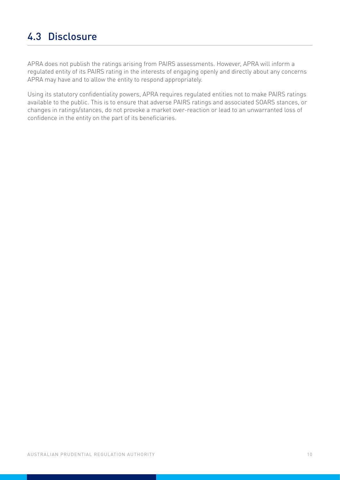### 4.3 Disclosure

APRA does not publish the ratings arising from PAIRS assessments. However, APRA will inform a regulated entity of its PAIRS rating in the interests of engaging openly and directly about any concerns APRA may have and to allow the entity to respond appropriately.

Using its statutory confidentiality powers, APRA requires regulated entities not to make PAIRS ratings available to the public. This is to ensure that adverse PAIRS ratings and associated SOARS stances, or changes in ratings/stances, do not provoke a market over-reaction or lead to an unwarranted loss of confidence in the entity on the part of its beneficiaries.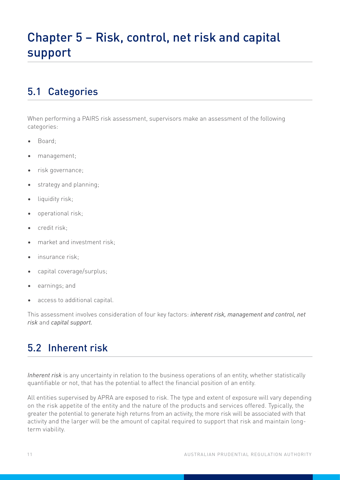# Chapter 5 – Risk, control, net risk and capital support

### 5.1 Categories

When performing a PAIRS risk assessment, supervisors make an assessment of the following categories:

- Board;
- management;
- risk governance;
- strategy and planning;
- liquidity risk;
- operational risk;
- credit risk;
- market and investment risk;
- insurance risk;
- capital coverage/surplus;
- earnings; and
- access to additional capital.

This assessment involves consideration of four key factors: *inherent risk, management and control, net risk* and *capital support.*

### 5.2 Inherent risk

*Inherent risk* is any uncertainty in relation to the business operations of an entity, whether statistically quantifiable or not, that has the potential to affect the financial position of an entity.

All entities supervised by APRA are exposed to risk. The type and extent of exposure will vary depending on the risk appetite of the entity and the nature of the products and services offered. Typically, the greater the potential to generate high returns from an activity, the more risk will be associated with that activity and the larger will be the amount of capital required to support that risk and maintain longterm viability.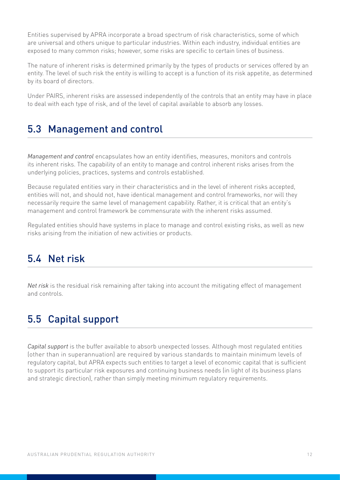Entities supervised by APRA incorporate a broad spectrum of risk characteristics, some of which are universal and others unique to particular industries. Within each industry, individual entities are exposed to many common risks; however, some risks are specific to certain lines of business.

The nature of inherent risks is determined primarily by the types of products or services offered by an entity. The level of such risk the entity is willing to accept is a function of its risk appetite, as determined by its board of directors.

Under PAIRS, inherent risks are assessed independently of the controls that an entity may have in place to deal with each type of risk, and of the level of capital available to absorb any losses.

### 5.3 Management and control

*Management and control* encapsulates how an entity identifies, measures, monitors and controls its inherent risks. The capability of an entity to manage and control inherent risks arises from the underlying policies, practices, systems and controls established.

Because regulated entities vary in their characteristics and in the level of inherent risks accepted, entities will not, and should not, have identical management and control frameworks, nor will they necessarily require the same level of management capability. Rather, it is critical that an entity's management and control framework be commensurate with the inherent risks assumed.

Regulated entities should have systems in place to manage and control existing risks, as well as new risks arising from the initiation of new activities or products.

### 5.4 Net risk

*Net risk* is the residual risk remaining after taking into account the mitigating effect of management and controls.

### 5.5 Capital support

*Capital support* is the buffer available to absorb unexpected losses. Although most regulated entities (other than in superannuation) are required by various standards to maintain minimum levels of regulatory capital, but APRA expects such entities to target a level of economic capital that is sufficient to support its particular risk exposures and continuing business needs (in light of its business plans and strategic direction), rather than simply meeting minimum regulatory requirements.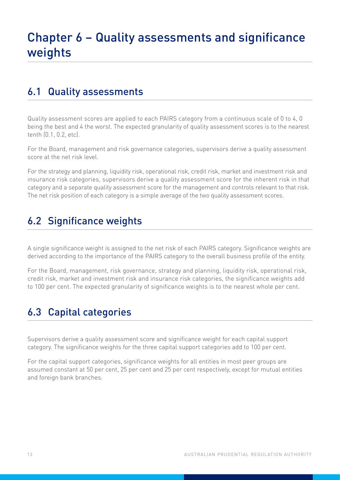### 6.1 Quality assessments

Quality assessment scores are applied to each PAIRS category from a continuous scale of 0 to 4, 0 being the best and 4 the worst. The expected granularity of quality assessment scores is to the nearest tenth (0.1, 0.2, etc).

For the Board, management and risk governance categories, supervisors derive a quality assessment score at the net risk level.

For the strategy and planning, liquidity risk, operational risk, credit risk, market and investment risk and insurance risk categories, supervisors derive a quality assessment score for the inherent risk in that category and a separate quality assessment score for the management and controls relevant to that risk. The net risk position of each category is a simple average of the two quality assessment scores.

### 6.2 Significance weights

A single significance weight is assigned to the net risk of each PAIRS category. Significance weights are derived according to the importance of the PAIRS category to the overall business profile of the entity.

For the Board, management, risk governance, strategy and planning, liquidity risk, operational risk, credit risk, market and investment risk and insurance risk categories, the significance weights add to 100 per cent. The expected granularity of significance weights is to the nearest whole per cent.

### 6.3 Capital categories

Supervisors derive a quality assessment score and significance weight for each capital support category. The significance weights for the three capital support categories add to 100 per cent.

For the capital support categories, significance weights for all entities in most peer groups are assumed constant at 50 per cent, 25 per cent and 25 per cent respectively, except for mutual entities and foreign bank branches.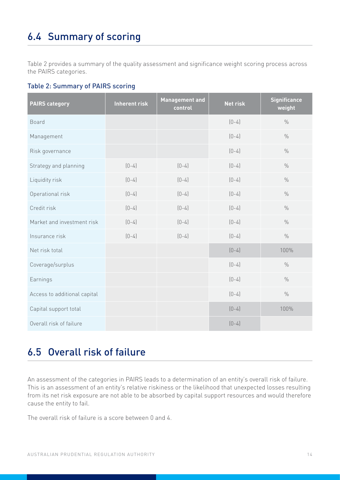### 6.4 Summary of scoring

Table 2 provides a summary of the quality assessment and significance weight scoring process across the PAIRS categories.

#### Table 2: Summary of PAIRS scoring

| <b>PAIRS category</b>        | <b>Inherent risk</b> | <b>Management and</b><br>control | <b>Net risk</b> | <b>Significance</b><br>weight |
|------------------------------|----------------------|----------------------------------|-----------------|-------------------------------|
| <b>Board</b>                 |                      |                                  | $[0-4]$         | $\frac{0}{0}$                 |
| Management                   |                      |                                  | $[0-4]$         | $\frac{0}{0}$                 |
| Risk governance              |                      |                                  | $(0-4)$         | $\frac{0}{0}$                 |
| Strategy and planning        | $[0-4]$              | $[0-4]$                          | $[0-4]$         | $\frac{0}{0}$                 |
| Liquidity risk               | $[0-4]$              | $(0-4)$                          | $[0-4]$         | $\frac{0}{0}$                 |
| Operational risk             | $(0-4)$              | $(0-4)$                          | $(0-4)$         | $\frac{0}{0}$                 |
| Credit risk                  | $[0-4]$              | $(0-4)$                          | $(0-4)$         | $\frac{0}{0}$                 |
| Market and investment risk   | $[0-4]$              | $(0-4)$                          | $[0-4]$         | $\%$                          |
| Insurance risk               | $[0-4]$              | $[0-4]$                          | $[0-4]$         | $\frac{0}{0}$                 |
| Net risk total               |                      |                                  | $[0-4]$         | 100%                          |
| Coverage/surplus             |                      |                                  | $(0-4)$         | $\frac{0}{0}$                 |
| Earnings                     |                      |                                  | $[0-4]$         | $\frac{0}{0}$                 |
| Access to additional capital |                      |                                  | $(0-4)$         | $\frac{0}{0}$                 |
| Capital support total        |                      |                                  | $[0-4]$         | 100%                          |
| Overall risk of failure      |                      |                                  | $[0-4]$         |                               |

### 6.5 Overall risk of failure

An assessment of the categories in PAIRS leads to a determination of an entity's overall risk of failure. This is an assessment of an entity's relative riskiness or the likelihood that unexpected losses resulting from its net risk exposure are not able to be absorbed by capital support resources and would therefore cause the entity to fail.

The overall risk of failure is a score between 0 and 4.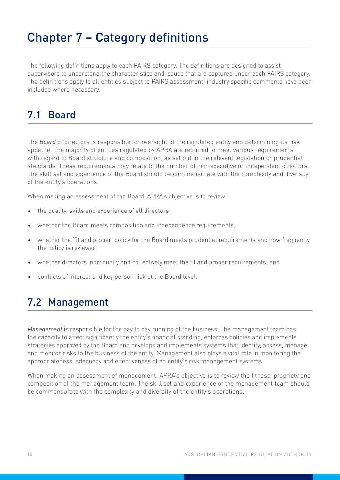# Chapter 7 – Category definitions

The following definitions apply to each PAIRS category. The definitions are designed to assist supervisors to understand the characteristics and issues that are captured under each PAIRS category. The definitions apply to all entities subject to PAIRS assessment; industry specific comments have been included where necessary.

### 7.1 Board

The *Board* of directors is responsible for oversight of the regulated entity and determining its risk appetite. The majority of entities regulated by APRA are required to meet various requirements with regard to Board structure and composition, as set out in the relevant legislation or prudential standards. These requirements may relate to the number of non-executive or independent directors. The skill set and experience of the Board should be commensurate with the complexity and diversity of the entity's operations.

When making an assessment of the Board, APRA's objective is to review:

- the quality, skills and experience of all directors;
- whether the Board meets composition and independence requirements;
- whether the 'fit and proper' policy for the Board meets prudential requirements and how frequently the policy is reviewed;
- whether directors individually and collectively meet the fit and proper requirements; and
- conflicts of interest and key person risk at the Board level.

### 7.2 Management

*Management* is responsible for the day to day running of the business. The management team has the capacity to affect significantly the entity's financial standing, enforces policies and implements strategies approved by the Board and develops and implements systems that identify, assess, manage and monitor risks to the business of the entity. Management also plays a vital role in monitoring the appropriateness, adequacy and effectiveness of an entity's risk management systems.

When making an assessment of management, APRA's objective is to review the fitness, propriety and composition of the management team. The skill set and experience of the management team should be commensurate with the complexity and diversity of the entity's operations.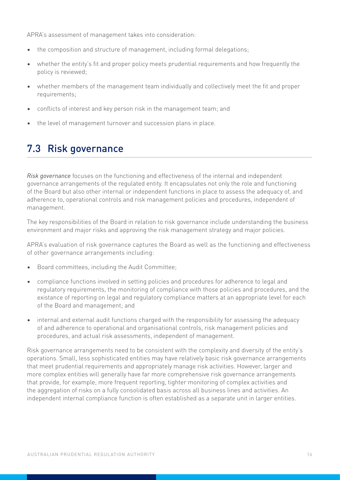APRA's assessment of management takes into consideration:

- the composition and structure of management, including formal delegations;
- whether the entity's fit and proper policy meets prudential requirements and how frequently the policy is reviewed;
- whether members of the management team individually and collectively meet the fit and proper requirements;
- conflicts of interest and key person risk in the management team; and
- the level of management turnover and succession plans in place.

### 7.3 Risk governance

*Risk governance* focuses on the functioning and effectiveness of the internal and independent governance arrangements of the regulated entity. It encapsulates not only the role and functioning of the Board but also other internal or independent functions in place to assess the adequacy of, and adherence to, operational controls and risk management policies and procedures, independent of management.

The key responsibilities of the Board in relation to risk governance include understanding the business environment and major risks and approving the risk management strategy and major policies.

APRA's evaluation of risk governance captures the Board as well as the functioning and effectiveness of other governance arrangements including:

- Board committees, including the Audit Committee;
- compliance functions involved in setting policies and procedures for adherence to legal and regulatory requirements, the monitoring of compliance with those policies and procedures, and the existance of reporting on legal and regulatory compliance matters at an appropriate level for each of the Board and management; and
- internal and external audit functions charged with the responsibility for assessing the adequacy of and adherence to operational and organisational controls, risk management policies and procedures, and actual risk assessments, independent of management.

Risk governance arrangements need to be consistent with the complexity and diversity of the entity's operations. Small, less sophisticated entities may have relatively basic risk governance arrangements that meet prudential requirements and appropriately manage risk activities. However, larger and more complex entities will generally have far more comprehensive risk governance arrangements that provide, for example, more frequent reporting, tighter monitoring of complex activities and the aggregation of risks on a fully consolidated basis across all business lines and activities. An independent internal compliance function is often established as a separate unit in larger entities.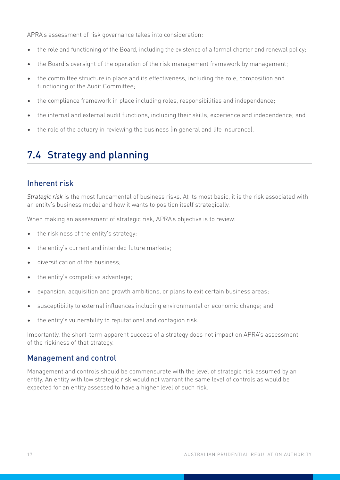APRA's assessment of risk governance takes into consideration:

- the role and functioning of the Board, including the existence of a formal charter and renewal policy;
- the Board's oversight of the operation of the risk management framework by management;
- the committee structure in place and its effectiveness, including the role, composition and functioning of the Audit Committee;
- the compliance framework in place including roles, responsibilities and independence;
- the internal and external audit functions, including their skills, experience and independence; and
- the role of the actuary in reviewing the business (in general and life insurance).

### 7.4 Strategy and planning

#### Inherent risk

*Strategic risk* is the most fundamental of business risks. At its most basic, it is the risk associated with an entity's business model and how it wants to position itself strategically.

When making an assessment of strategic risk, APRA's objective is to review:

- the riskiness of the entity's strategy;
- the entity's current and intended future markets:
- diversification of the business;
- the entity's competitive advantage;
- expansion, acquisition and growth ambitions, or plans to exit certain business areas;
- susceptibility to external influences including environmental or economic change; and
- the entity's vulnerability to reputational and contagion risk.

Importantly, the short-term apparent success of a strategy does not impact on APRA's assessment of the riskiness of that strategy.

#### Management and control

Management and controls should be commensurate with the level of strategic risk assumed by an entity. An entity with low strategic risk would not warrant the same level of controls as would be expected for an entity assessed to have a higher level of such risk.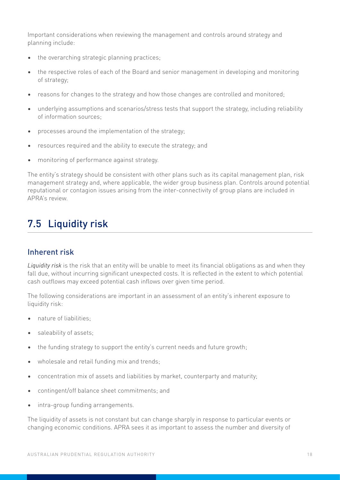Important considerations when reviewing the management and controls around strategy and planning include:

- the overarching strategic planning practices;
- the respective roles of each of the Board and senior management in developing and monitoring of strategy;
- reasons for changes to the strategy and how those changes are controlled and monitored;
- underlying assumptions and scenarios/stress tests that support the strategy, including reliability of information sources;
- processes around the implementation of the strategy;
- resources required and the ability to execute the strategy; and
- monitoring of performance against strategy.

The entity's strategy should be consistent with other plans such as its capital management plan, risk management strategy and, where applicable, the wider group business plan. Controls around potential reputational or contagion issues arising from the inter-connectivity of group plans are included in APRA's review.

### 7.5 Liquidity risk

#### Inherent risk

*Liquidity risk* is the risk that an entity will be unable to meet its financial obligations as and when they fall due, without incurring significant unexpected costs. It is reflected in the extent to which potential cash outflows may exceed potential cash inflows over given time period.

The following considerations are important in an assessment of an entity's inherent exposure to liquidity risk:

- nature of liabilities;
- saleability of assets;
- the funding strategy to support the entity's current needs and future growth:
- wholesale and retail funding mix and trends;
- concentration mix of assets and liabilities by market, counterparty and maturity;
- contingent/off balance sheet commitments; and
- intra-group funding arrangements.

The liquidity of assets is not constant but can change sharply in response to particular events or changing economic conditions. APRA sees it as important to assess the number and diversity of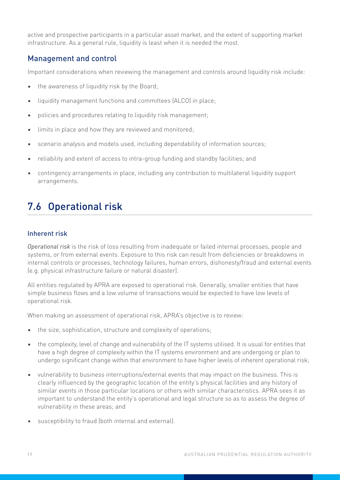active and prospective participants in a particular asset market, and the extent of supporting market infrastructure. As a general rule, liquidity is least when it is needed the most.

#### Management and control

Important considerations when reviewing the management and controls around liquidity risk include:

- the awareness of liquidity risk by the Board;
- liquidity management functions and committees (ALCO) in place;
- policies and procedures relating to liquidity risk management;
- limits in place and how they are reviewed and monitored;
- scenario analysis and models used, including dependability of information sources;
- reliability and extent of access to intra-group funding and standby facilities; and
- contingency arrangements in place, including any contribution to multilateral liquidity support arrangements.

### 7.6 Operational risk

#### Inherent risk

*Operational risk* is the risk of loss resulting from inadequate or failed internal processes, people and systems, or from external events. Exposure to this risk can result from deficiencies or breakdowns in internal controls or processes, technology failures, human errors, dishonesty/fraud and external events (e.g. physical infrastructure failure or natural disaster).

All entities regulated by APRA are exposed to operational risk. Generally, smaller entities that have simple business flows and a low volume of transactions would be expected to have low levels of operational risk.

When making an assessment of operational risk, APRA's objective is to review:

- the size, sophistication, structure and complexity of operations;
- the complexity, level of change and vulnerability of the IT systems utilised. It is usual for entities that have a high degree of complexity within the IT systems environment and are undergoing or plan to undergo significant change within that environment to have higher levels of inherent operational risk;
- vulnerability to business interruptions/external events that may impact on the business. This is clearly influenced by the geographic location of the entity's physical facilities and any history of similar events in those particular locations or others with similar characteristics. APRA sees it as important to understand the entity's operational and legal structure so as to assess the degree of vulnerability in these areas; and
- susceptibility to fraud (both internal and external).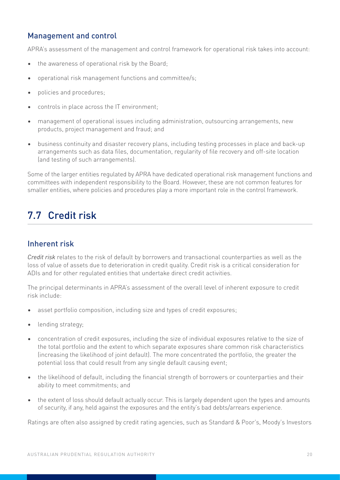#### Management and control

APRA's assessment of the management and control framework for operational risk takes into account:

- the awareness of operational risk by the Board;
- operational risk management functions and committee/s;
- policies and procedures;
- controls in place across the IT environment;
- management of operational issues including administration, outsourcing arrangements, new products, project management and fraud; and
- business continuity and disaster recovery plans, including testing processes in place and back-up arrangements such as data files, documentation, regularity of file recovery and off-site location (and testing of such arrangements).

Some of the larger entities regulated by APRA have dedicated operational risk management functions and committees with independent responsibility to the Board. However, these are not common features for smaller entities, where policies and procedures play a more important role in the control framework.

### 7.7 Credit risk

#### Inherent risk

*Credit risk* relates to the risk of default by borrowers and transactional counterparties as well as the loss of value of assets due to deterioration in credit quality. Credit risk is a critical consideration for ADIs and for other regulated entities that undertake direct credit activities.

The principal determinants in APRA's assessment of the overall level of inherent exposure to credit risk include:

- asset portfolio composition, including size and types of credit exposures;
- lending strategy;
- concentration of credit exposures, including the size of individual exposures relative to the size of the total portfolio and the extent to which separate exposures share common risk characteristics (increasing the likelihood of joint default). The more concentrated the portfolio, the greater the potential loss that could result from any single default causing event;
- the likelihood of default, including the financial strength of borrowers or counterparties and their ability to meet commitments; and
- the extent of loss should default actually occur. This is largely dependent upon the types and amounts of security, if any, held against the exposures and the entity's bad debts/arrears experience.

Ratings are often also assigned by credit rating agencies, such as Standard & Poor's, Moody's Investors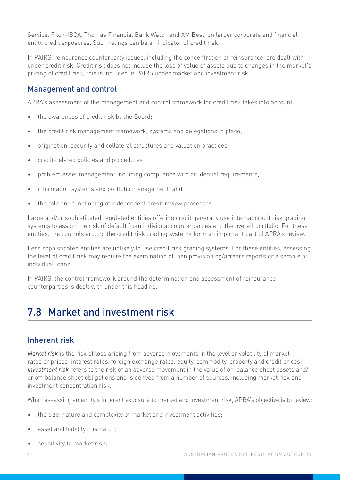Service, Fitch-IBCA, Thomas Financial Bank Watch and AM Best, on larger corporate and financial entity credit exposures. Such ratings can be an indicator of credit risk.

In PAIRS, reinsurance counterparty issues, including the concentration of reinsurance, are dealt with under credit risk. Credit risk does not include the loss of value of assets due to changes in the market's pricing of credit risk; this is included in PAIRS under market and investment risk.

#### Management and control

APRA's assessment of the management and control framework for credit risk takes into account:

- the awareness of credit risk by the Board;
- the credit risk management framework, systems and delegations in place;
- origination, security and collateral structures and valuation practices;
- credit-related policies and procedures;
- problem asset management including compliance with prudential requirements;
- information systems and portfolio management; and
- the role and functioning of independent credit review processes.

Large and/or sophisticated regulated entities offering credit generally use internal credit risk grading systems to assign the risk of default from individual counterparties and the overall portfolio. For these entities, the controls around the credit risk grading systems form an important part of APRA's review.

Less sophisticated entities are unlikely to use credit risk grading systems. For these entities, assessing the level of credit risk may require the examination of loan provisioning/arrears reports or a sample of individual loans.

In PAIRS, the control framework around the determination and assessment of reinsurance counterparties is dealt with under this heading.

### 7.8 Market and investment risk

#### Inherent risk

*Market risk* is the risk of loss arising from adverse movements in the level or volatility of market rates or prices (interest rates, foreign exchange rates, equity, commodity, property and credit prices). *Investment risk* refers to the risk of an adverse movement in the value of on-balance sheet assets and/ or off-balance sheet obligations and is derived from a number of sources, including market risk and investment concentration risk.

When assessing an entity's inherent exposure to market and investment risk, APRA's objective is to review:

- the size, nature and complexity of market and investment activities;
- asset and liability mismatch;
- sensitivity to market risk;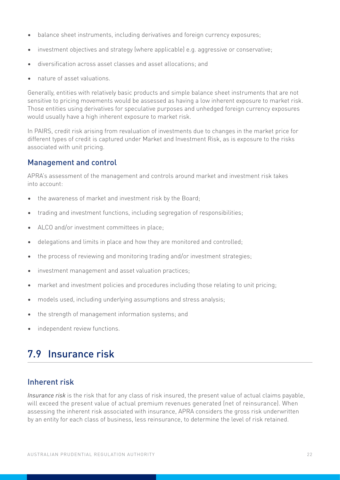- balance sheet instruments, including derivatives and foreign currency exposures;
- investment objectives and strategy (where applicable) e.g. aggressive or conservative;
- diversification across asset classes and asset allocations; and
- nature of asset valuations.

Generally, entities with relatively basic products and simple balance sheet instruments that are not sensitive to pricing movements would be assessed as having a low inherent exposure to market risk. Those entities using derivatives for speculative purposes and unhedged foreign currency exposures would usually have a high inherent exposure to market risk.

In PAIRS, credit risk arising from revaluation of investments due to changes in the market price for different types of credit is captured under Market and Investment Risk, as is exposure to the risks associated with unit pricing.

#### Management and control

APRA's assessment of the management and controls around market and investment risk takes into account:

- the awareness of market and investment risk by the Board;
- trading and investment functions, including segregation of responsibilities;
- ALCO and/or investment committees in place;
- delegations and limits in place and how they are monitored and controlled;
- the process of reviewing and monitoring trading and/or investment strategies;
- investment management and asset valuation practices;
- market and investment policies and procedures including those relating to unit pricing;
- models used, including underlying assumptions and stress analysis;
- the strength of management information systems; and
- independent review functions.

### 7.9 Insurance risk

#### Inherent risk

*Insurance risk* is the risk that for any class of risk insured, the present value of actual claims payable, will exceed the present value of actual premium revenues generated (net of reinsurance). When assessing the inherent risk associated with insurance, APRA considers the gross risk underwritten by an entity for each class of business, less reinsurance, to determine the level of risk retained.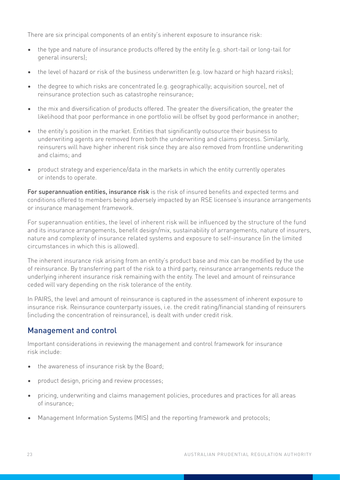There are six principal components of an entity's inherent exposure to insurance risk:

- the type and nature of insurance products offered by the entity (e.g. short-tail or long-tail for general insurers);
- the level of hazard or risk of the business underwritten (e.g. low hazard or high hazard risks);
- the degree to which risks are concentrated (e.g. geographically; acquisition source), net of reinsurance protection such as catastrophe reinsurance;
- the mix and diversification of products offered. The greater the diversification, the greater the likelihood that poor performance in one portfolio will be offset by good performance in another;
- the entity's position in the market. Entities that significantly outsource their business to underwriting agents are removed from both the underwriting and claims process. Similarly, reinsurers will have higher inherent risk since they are also removed from frontline underwriting and claims; and
- product strategy and experience/data in the markets in which the entity currently operates or intends to operate.

For superannuation entities, insurance risk is the risk of insured benefits and expected terms and conditions offered to members being adversely impacted by an RSE licensee's insurance arrangements or insurance management framework.

For superannuation entities, the level of inherent risk will be influenced by the structure of the fund and its insurance arrangements, benefit design/mix, sustainability of arrangements, nature of insurers, nature and complexity of insurance related systems and exposure to self-insurance (in the limited circumstances in which this is allowed).

The inherent insurance risk arising from an entity's product base and mix can be modified by the use of reinsurance. By transferring part of the risk to a third party, reinsurance arrangements reduce the underlying inherent insurance risk remaining with the entity. The level and amount of reinsurance ceded will vary depending on the risk tolerance of the entity.

In PAIRS, the level and amount of reinsurance is captured in the assessment of inherent exposure to insurance risk. Reinsurance counterparty issues, i.e. the credit rating/financial standing of reinsurers (including the concentration of reinsurance), is dealt with under credit risk.

#### Management and control

Important considerations in reviewing the management and control framework for insurance risk include:

- the awareness of insurance risk by the Board;
- product design, pricing and review processes;
- pricing, underwriting and claims management policies, procedures and practices for all areas of insurance;
- Management Information Systems (MIS) and the reporting framework and protocols;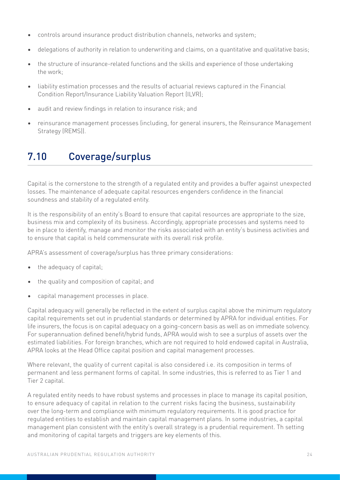- controls around insurance product distribution channels, networks and system;
- delegations of authority in relation to underwriting and claims, on a quantitative and qualitative basis;
- the structure of insurance-related functions and the skills and experience of those undertaking the work;
- liability estimation processes and the results of actuarial reviews captured in the Financial Condition Report/Insurance Liability Valuation Report (ILVR);
- audit and review findings in relation to insurance risk; and
- reinsurance management processes (including, for general insurers, the Reinsurance Management Strategy (REMS)).

### 7.10 Coverage/surplus

Capital is the cornerstone to the strength of a regulated entity and provides a buffer against unexpected losses. The maintenance of adequate capital resources engenders confidence in the financial soundness and stability of a regulated entity.

It is the responsibility of an entity's Board to ensure that capital resources are appropriate to the size, business mix and complexity of its business. Accordingly, appropriate processes and systems need to be in place to identify, manage and monitor the risks associated with an entity's business activities and to ensure that capital is held commensurate with its overall risk profile.

APRA's assessment of coverage/surplus has three primary considerations:

- the adequacy of capital;
- the quality and composition of capital; and
- capital management processes in place.

Capital adequacy will generally be reflected in the extent of surplus capital above the minimum regulatory capital requirements set out in prudential standards or determined by APRA for individual entities. For life insurers, the focus is on capital adequacy on a going-concern basis as well as on immediate solvency. For superannuation defined benefit/hybrid funds, APRA would wish to see a surplus of assets over the estimated liabilities. For foreign branches, which are not required to hold endowed capital in Australia, APRA looks at the Head Office capital position and capital management processes.

Where relevant, the quality of current capital is also considered i.e. its composition in terms of permanent and less permanent forms of capital. In some industries, this is referred to as Tier 1 and Tier 2 capital.

A regulated entity needs to have robust systems and processes in place to manage its capital position, to ensure adequacy of capital in relation to the current risks facing the business, sustainability over the long-term and compliance with minimum regulatory requirements. It is good practice for regulated entities to establish and maintain capital management plans. In some industries, a capital management plan consistent with the entity's overall strategy is a prudential requirement. Th setting and monitoring of capital targets and triggers are key elements of this.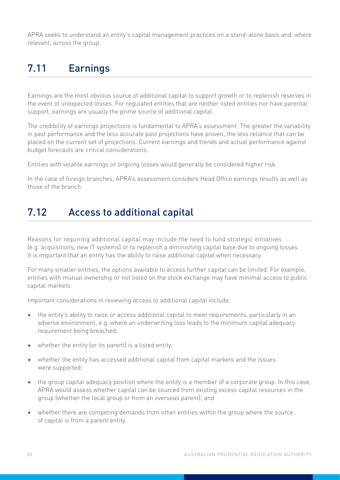APRA seeks to understand an entity's capital management practices on a stand-alone basis and, where relevant, across the group.

### 7.11 Earnings

Earnings are the most obvious source of additional capital to support growth or to replenish reserves in the event of unexpected losses. For regulated entities that are neither listed entities nor have parental support, earnings are usually the prime source of additional capital.

The credibility of earnings projections is fundamental to APRA's assessment. The greater the variability in past performance and the less accurate past projections have proven, the less reliance that can be placed on the current set of projections. Current earnings and trends and actual performance against budget forecasts are critical considerations.

Entities with volatile earnings or ongoing losses would generally be considered higher risk.

In the case of foreign branches, APRA's assessment considers Head Office earnings results as well as those of the branch.

### 7.12 Access to additional capital

Reasons for requiring additional capital may include the need to fund strategic initiatives (e.g. acquisitions, new IT systems) or to replenish a diminishing capital base due to ongoing losses. It is important that an entity has the ability to raise additional capital when necessary.

For many smaller entities, the options available to access further capital can be limited. For example, entities with mutual ownership or not listed on the stock exchange may have minimal access to public capital markets.

Important considerations in reviewing access to additional capital include:

- the entity's ability to raise or access additional capital to meet requirements, particularly in an adverse environment, e.g. where an underwriting loss leads to the minimum capital adequacy requirement being breached;
- whether the entity (or its parent) is a listed entity;
- whether the entity has accessed additional capital from capital markets and the issues were supported;
- the group capital adequacy position where the entity is a member of a corporate group. In this case, APRA would assess whether capital can be sourced from existing excess capital resources in the group (whether the local group or from an overseas parent); and
- whether there are competing demands from other entities within the group where the source of capital is from a parent entity.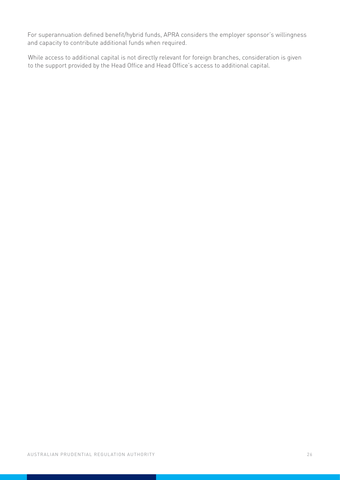For superannuation defined benefit/hybrid funds, APRA considers the employer sponsor's willingness and capacity to contribute additional funds when required.

While access to additional capital is not directly relevant for foreign branches, consideration is given to the support provided by the Head Office and Head Office's access to additional capital.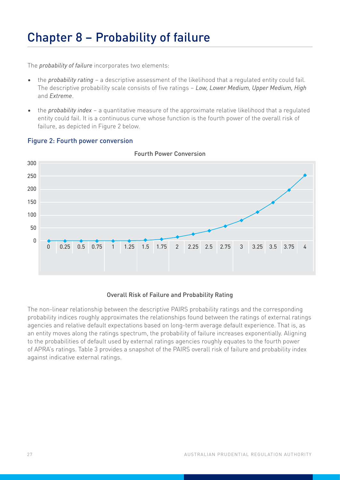# Chapter 8 – Probability of failure

The *probability of failure* incorporates two elements:

- the *probability rating* a descriptive assessment of the likelihood that a regulated entity could fail. The descriptive probability scale consists of five ratings – *Low, Lower Medium, Upper Medium, High*  and *Extreme*.
- the *probability index* a quantitative measure of the approximate relative likelihood that a regulated entity could fail. It is a continuous curve whose function is the fourth power of the overall risk of failure, as depicted in Figure 2 below.



#### Figure 2: Fourth power conversion

#### Overall Risk of Failure and Probability Rating

The non-linear relationship between the descriptive PAIRS probability ratings and the corresponding probability indices roughly approximates the relationships found between the ratings of external ratings agencies and relative default expectations based on long-term average default experience. That is, as an entity moves along the ratings spectrum, the probability of failure increases exponentially. Aligning to the probabilities of default used by external ratings agencies roughly equates to the fourth power of APRA's ratings. Table 3 provides a snapshot of the PAIRS overall risk of failure and probability index against indicative external ratings.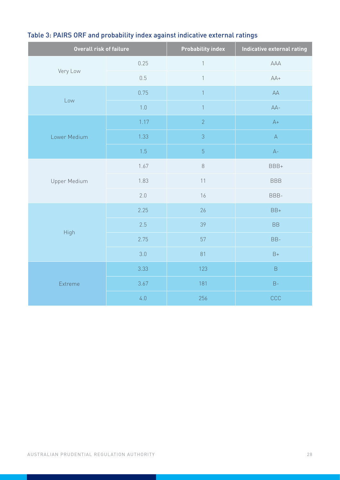| Overall risk of failure |         | <b>Probability index</b>  | Indicative external rating                                            |
|-------------------------|---------|---------------------------|-----------------------------------------------------------------------|
|                         | 0.25    | $\mathbbm{1}$             | AAA                                                                   |
| Very Low                | 0.5     | $\ensuremath{\mathbb{1}}$ | $AA+$                                                                 |
| Low                     | 0.75    | $\mathbf{1}$              | ${\sf AA}$                                                            |
|                         | $1.0\,$ | $\mathbf{1}$              | $AA-$                                                                 |
| Lower Medium            | 1.17    | $\overline{2}$            | $\mathbb{A}+$                                                         |
|                         | 1.33    | 3                         | $\mathsf{A}% _{\mathsf{A}}^{\prime}=\mathsf{A}_{\mathsf{A}}^{\prime}$ |
|                         | $1.5\,$ | $\overline{5}$            | $\mathbb{A}-$                                                         |
| Upper Medium            | 1.67    | $\,8\,$                   | BBB+                                                                  |
|                         | 1.83    | $11\,$                    | <b>BBB</b>                                                            |
|                         | 2.0     | 16                        | BBB-                                                                  |
| High                    | 2.25    | 26                        | $BB+$                                                                 |
|                         | 2.5     | 39                        | <b>BB</b>                                                             |
|                         | 2.75    | 57                        | BB-                                                                   |
|                         | 3.0     | 81                        | $B+$                                                                  |
| Extreme                 | 3.33    | 123                       | $\mathsf B$                                                           |
|                         | 3.67    | 181                       | $B -$                                                                 |
|                         | 4.0     | 256                       | CCC                                                                   |

#### Table 3: PAIRS ORF and probability index against indicative external ratings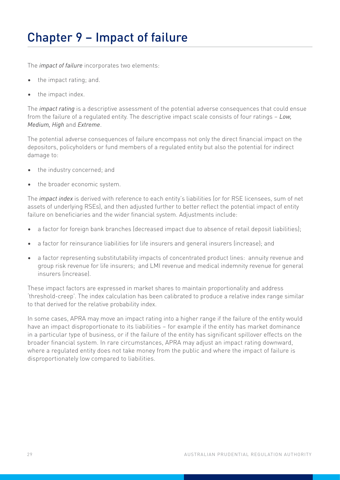# Chapter 9 – Impact of failure

The *impact of failure* incorporates two elements:

- the impact rating; and.
- the impact index.

The *impact rating* is a descriptive assessment of the potential adverse consequences that could ensue from the failure of a regulated entity. The descriptive impact scale consists of four ratings – *Low, Medium, High* and *Extreme*.

The potential adverse consequences of failure encompass not only the direct financial impact on the depositors, policyholders or fund members of a regulated entity but also the potential for indirect damage to:

- the industry concerned; and
- the broader economic system.

The *impact index* is derived with reference to each entity's liabilities (or for RSE licensees, sum of net assets of underlying RSEs), and then adjusted further to better reflect the potential impact of entity failure on beneficiaries and the wider financial system. Adjustments include:

- a factor for foreign bank branches (decreased impact due to absence of retail deposit liabilities);
- a factor for reinsurance liabilities for life insurers and general insurers (increase); and
- a factor representing substitutability impacts of concentrated product lines: annuity revenue and group risk revenue for life insurers; and LMI revenue and medical indemnity revenue for general insurers (increase).

These impact factors are expressed in market shares to maintain proportionality and address 'threshold-creep'. The index calculation has been calibrated to produce a relative index range similar to that derived for the relative probability index.

In some cases, APRA may move an impact rating into a higher range if the failure of the entity would have an impact disproportionate to its liabilities – for example if the entity has market dominance in a particular type of business, or if the failure of the entity has significant spillover effects on the broader financial system. In rare circumstances, APRA may adjust an impact rating downward, where a regulated entity does not take money from the public and where the impact of failure is disproportionately low compared to liabilities.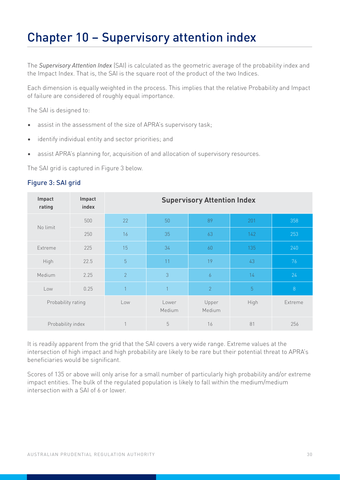# Chapter 10 – Supervisory attention index

The *Supervisory Attention Index* (SAI) is calculated as the geometric average of the probability index and the Impact Index. That is, the SAI is the square root of the product of the two Indices.

Each dimension is equally weighted in the process. This implies that the relative Probability and Impact of failure are considered of roughly equal importance.

The SAI is designed to:

- assist in the assessment of the size of APRA's supervisory task;
- identify individual entity and sector priorities; and
- assist APRA's planning for, acquisition of and allocation of supervisory resources.

The SAI grid is captured in Figure 3 below.

| Impact<br>rating   | Impact<br>index | <b>Supervisory Attention Index</b> |                 |                 |      |                |
|--------------------|-----------------|------------------------------------|-----------------|-----------------|------|----------------|
| No limit           | 500             | 22                                 | 50              | 89              | 201  | 358            |
|                    | 250             | 16                                 | 35              | 63              | 142  | 253            |
| Extreme            | 225             | 15                                 | 34              | 60              | 135  | 240            |
| High               | 22.5            | 5                                  | 11              | 19              | 43   | 76             |
| Medium             | 2.25            | $\overline{2}$                     | 3               | $\overline{6}$  | 14   | 24             |
| Low                | 0.25            | $\overline{1}$                     | $\overline{1}$  | $\overline{2}$  | 5    | $\overline{8}$ |
| Probability rating |                 | Low                                | Lower<br>Medium | Upper<br>Medium | High | Extreme        |
| Probability index  |                 |                                    | 5               | 16              | 81   | 256            |

#### Figure 3: SAI grid

It is readily apparent from the grid that the SAI covers a very wide range. Extreme values at the intersection of high impact and high probability are likely to be rare but their potential threat to APRA's beneficiaries would be significant.

Scores of 135 or above will only arise for a small number of particularly high probability and/or extreme impact entities. The bulk of the regulated population is likely to fall within the medium/medium intersection with a SAI of 6 or lower.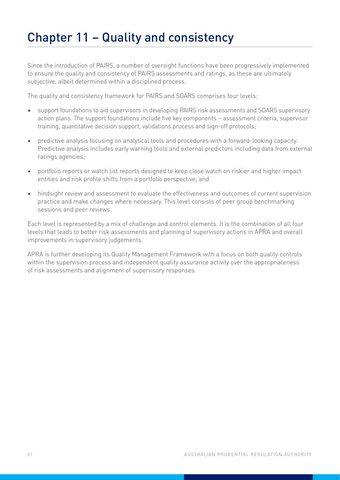# Chapter 11 – Quality and consistency

Since the introduction of PAIRS, a number of oversight functions have been progressively implemented to ensure the quality and consistency of PAIRS assessments and ratings, as these are ultimately subjective, albeit determined within a disciplined process.

The quality and consistency framework for PAIRS and SOARS comprises four levels:

- support foundations to aid supervisors in developing PAIRS risk assessments and SOARS supervisory action plans. The support foundations include five key components – assessment criteria, supervisor training, quantitative decision support, validations process and sign-off protocols;
- predictive analysis focusing on analytical tools and procedures with a forward-looking capacity. Predictive analysis includes early warning tools and external predictors including data from external ratings agencies;
- portfolio reports or watch list reports designed to keep close watch on riskier and higher impact entities and risk profile shifts from a portfolio perspective; and
- hindsight review and assessment to evaluate the effectiveness and outcomes of current supervision practice and make changes where necessary. This level consists of peer group benchmarking sessions and peer reviews.

Each level is represented by a mix of challenge and control elements. It is the combination of all four levels that leads to better risk assessments and planning of supervisory actions in APRA and overall improvements in supervisory judgements.

APRA is further developing its Quality Management Framework with a focus on both quality controls within the supervision process and independent quality assurance activity over the appropriateness of risk assessments and alignment of supervisory responses.